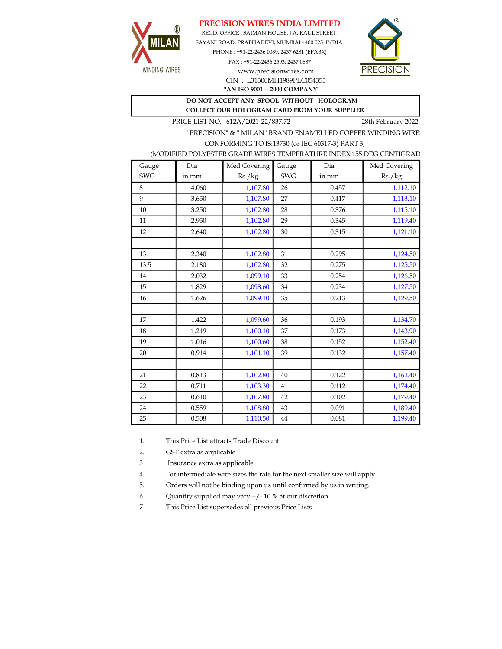## PRECISION WIRES INDIA LIMITED



REGD. OFFICE : SAIMAN HOUSE, J.A. RAUL STREET, SAYANI ROAD, PRABHADEVI, MUMBAI - 400 025. INDIA. PHONE : +91-22-2436 0089, 2437 6281 (EPABX)

> FAX : +91-22-2436 2593, 2437 0687 www.precisionwires.com CIN : L31300MH1989PLC054355



"AN ISO 9001 -- 2000 COMPANY"

## DO NOT ACCEPT ANY SPOOL WITHOUT HOLOGRAM COLLECT OUR HOLOGRAM CARD FROM YOUR SUPPLIER

PRICE LIST NO. 612A/2021-22/837.72 28th February 2022

"PRECISION" & " MILAN" BRAND ENAMELLED COPPER WINDING WIRE CONFORMING TO IS:13730 (or IEC 60317-3) PART 3,

| (MODIFIED POLYESTER GRADE WIRES TEMPERATURE INDEX 155 DEG CENTIGRAD |  |
|---------------------------------------------------------------------|--|
|                                                                     |  |

| Gauge      | Dia   | Med Covering | Gauge      | Dia   | Med Covering |
|------------|-------|--------------|------------|-------|--------------|
| <b>SWG</b> | in mm | Rs./kg       | <b>SWG</b> | in mm | Rs./kg       |
| 8          | 4.060 | 1,107.80     | 26         | 0.457 | 1,112.10     |
| 9          | 3.650 | 1,107.80     | 27         | 0.417 | 1,113.10     |
| 10         | 3.250 | 1,102.80     | 28         | 0.376 | 1,115.10     |
| 11         | 2.950 | 1,102.80     | 29         | 0.345 | 1,119.40     |
| 12         | 2.640 | 1,102.80     | 30         | 0.315 | 1,121.10     |
|            |       |              |            |       |              |
| 13         | 2.340 | 1,102.80     | 31         | 0.295 | 1,124.50     |
| 13.5       | 2.180 | 1,102.80     | 32         | 0.275 | 1,125.50     |
| 14         | 2.032 | 1,099.10     | 33         | 0.254 | 1,126.50     |
| 15         | 1.829 | 1,098.60     | 34         | 0.234 | 1,127.50     |
| 16         | 1.626 | 1,099.10     | 35         | 0.213 | 1,129.50     |
|            |       |              |            |       |              |
| 17         | 1.422 | 1,099.60     | 36         | 0.193 | 1,134.70     |
| 18         | 1.219 | 1,100.10     | 37         | 0.173 | 1,143.90     |
| 19         | 1.016 | 1,100.60     | 38         | 0.152 | 1,152.40     |
| 20         | 0.914 | 1,101.10     | 39         | 0.132 | 1,157.40     |
|            |       |              |            |       |              |
| 21         | 0.813 | 1,102.80     | 40         | 0.122 | 1,162.40     |
| 22         | 0.711 | 1,103.30     | 41         | 0.112 | 1,174.40     |
| 23         | 0.610 | 1,107.80     | 42         | 0.102 | 1,179.40     |
| 24         | 0.559 | 1,108.80     | 43         | 0.091 | 1,189.40     |
| 25         | 0.508 | 1,110.50     | 44         | 0.081 | 1,199.40     |

1. This Price List attracts Trade Discount.

2. GST extra as applicable

3 Insurance extra as applicable.

4. For intermediate wire sizes the rate for the next smaller size will apply.

5. Orders will not be binding upon us until confirmed by us in writing.

6 Quantity supplied may vary +/- 10 % at our discretion.

7 This Price List supersedes all previous Price Lists